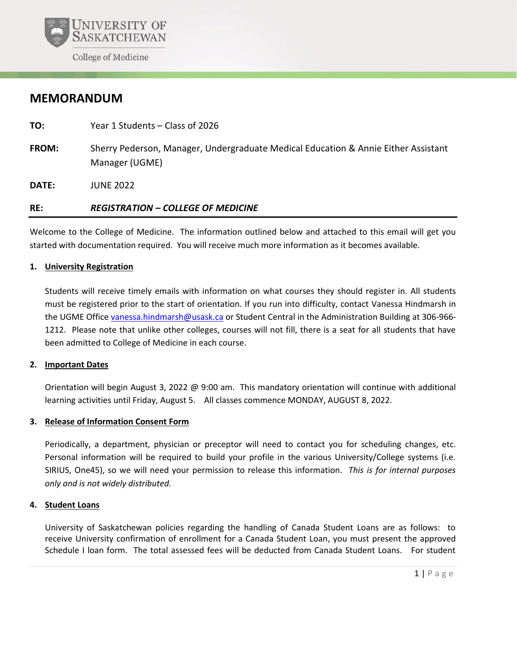

# **MEMORANDUM**

- **TO:** Year 1 Students Class of 2026
- **FROM:** Sherry Pederson, Manager, Undergraduate Medical Education & Annie Either Assistant Manager (UGME)

**DATE:** JUNE 2022

## **RE:** *REGISTRATION – COLLEGE OF MEDICINE*

Welcome to the College of Medicine. The information outlined below and attached to this email will get you started with documentation required. You will receive much more information as it becomes available.

#### **1. University Registration**

Students will receive timely emails with information on what courses they should register in. All students must be registered prior to the start of orientation. If you run into difficulty, contact Vanessa Hindmarsh in the UGME Office [vanessa.hindmarsh@usask.ca](mailto:vanessa.hindmarsh@usask.ca) or Student Central in the Administration Building at 306-966- 1212. Please note that unlike other colleges, courses will not fill, there is a seat for all students that have been admitted to College of Medicine in each course.

#### **2. Important Dates**

Orientation will begin August 3, 2022 @ 9:00 am. This mandatory orientation will continue with additional learning activities until Friday, August 5. All classes commence MONDAY, AUGUST 8, 2022.

## **3. Release of Information Consent Form**

Periodically, a department, physician or preceptor will need to contact you for scheduling changes, etc. Personal information will be required to build your profile in the various University/College systems (i.e. SIRIUS, One45), so we will need your permission to release this information. *This is for internal purposes only and is not widely distributed.* 

#### **4. Student Loans**

University of Saskatchewan policies regarding the handling of Canada Student Loans are as follows: to receive University confirmation of enrollment for a Canada Student Loan, you must present the approved Schedule I loan form. The total assessed fees will be deducted from Canada Student Loans. For student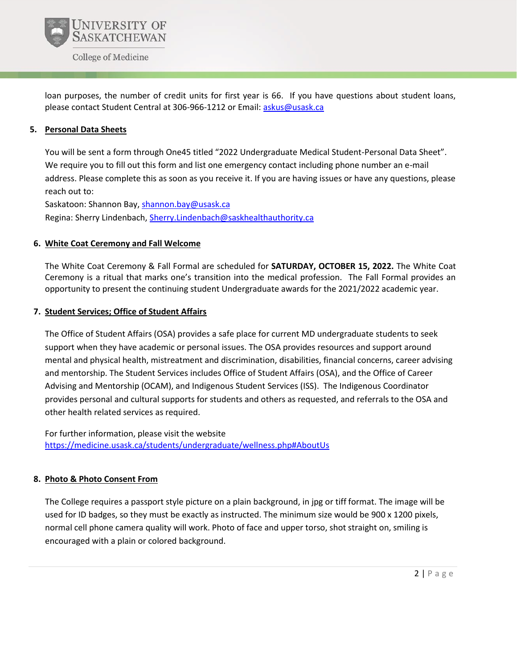

loan purposes, the number of credit units for first year is 66. If you have questions about student loans, please contact Student Central at 306-966-1212 or Email[: askus@usask.ca](mailto:askus@usask.ca)

### **5. Personal Data Sheets**

You will be sent a form through One45 titled "2022 Undergraduate Medical Student-Personal Data Sheet". We require you to fill out this form and list one emergency contact including phone number an e-mail address. Please complete this as soon as you receive it. If you are having issues or have any questions, please reach out to:

Saskatoon: Shannon Bay, [shannon.bay@usask.ca](mailto:shannon.bay@usask.ca) Regina: Sherry Lindenbach, [Sherry.Lindenbach@saskhealthauthority.ca](mailto:Sherry.Lindenbach@saskhealthauthority.ca)

#### **6. White Coat Ceremony and Fall Welcome**

The White Coat Ceremony & Fall Formal are scheduled for **SATURDAY, OCTOBER 15, 2022.** The White Coat Ceremony is a ritual that marks one's transition into the medical profession. The Fall Formal provides an opportunity to present the continuing student Undergraduate awards for the 2021/2022 academic year.

#### **7. Student Services; Office of Student Affairs**

The Office of Student Affairs (OSA) provides a safe place for current MD undergraduate students to seek support when they have academic or personal issues. The OSA provides resources and support around mental and physical health, mistreatment and discrimination, disabilities, financial concerns, career advising and mentorship. The Student Services includes Office of Student Affairs (OSA), and the Office of Career Advising and Mentorship (OCAM), and Indigenous Student Services (ISS). The Indigenous Coordinator provides personal and cultural supports for students and others as requested, and referrals to the OSA and other health related services as required.

For further information, please visit the website [https://medicine.usask.ca/students/undergraduate/wellness.php#AboutUs](https://nam12.safelinks.protection.outlook.com/?url=https%3A%2F%2Fmedicine.usask.ca%2Fstudents%2Fundergraduate%2Fwellness.php%23AboutUs&data=02%7C01%7C%7Cdc5fe4975c824507832708d7fdc3b06e%7C84df9e7fe9f640afb435aaaaaaaaaaaa%7C1%7C0%7C637256889221994582&sdata=KE5uVUD5Y3pQotlbq%2Bc6yvd2cmuSl9%2F53lUe8RyuQYw%3D&reserved=0)

## **8. Photo & Photo Consent From**

The College requires a passport style picture on a plain background, in jpg or tiff format. The image will be used for ID badges, so they must be exactly as instructed. The minimum size would be 900 x 1200 pixels, normal cell phone camera quality will work. Photo of face and upper torso, shot straight on, smiling is encouraged with a plain or colored background.